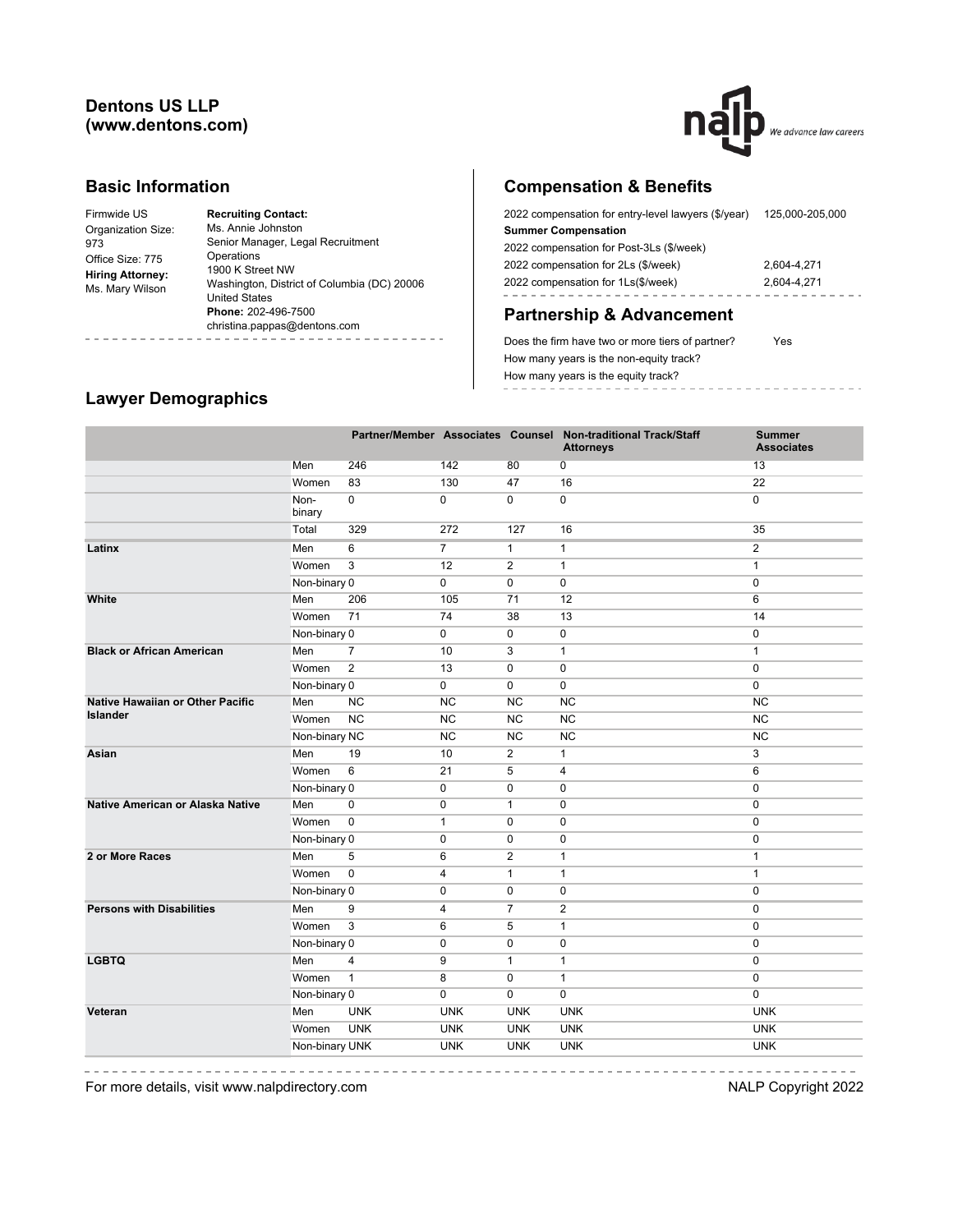## **Dentons US LLP (www.dentons.com)**



#### **Basic Information**

| Firmwide US                                | <b>Recruiting Contact:</b>                  |
|--------------------------------------------|---------------------------------------------|
| Organization Size:                         | Ms. Annie Johnston                          |
| 973                                        | Senior Manager, Legal Recruitment           |
| Office Size: 775                           | Operations                                  |
| <b>Hiring Attorney:</b><br>Ms. Mary Wilson | 1900 K Street NW                            |
|                                            | Washington, District of Columbia (DC) 20006 |
|                                            | <b>United States</b>                        |
|                                            | Phone: 202-496-7500                         |
|                                            | christina.pappas@dentons.com                |
|                                            |                                             |

# **Compensation & Benefits**

| 2022 compensation for entry-level lawyers (\$/year) | 125.000-205.000 |
|-----------------------------------------------------|-----------------|
| <b>Summer Compensation</b>                          |                 |
| 2022 compensation for Post-3Ls (\$/week)            |                 |
| 2022 compensation for 2Ls (\$/week)                 | 2.604-4.271     |
| 2022 compensation for 1Ls(\$/week)                  | 2.604-4.271     |
|                                                     |                 |

# **Partnership & Advancement**

Does the firm have two or more tiers of partner? Yes How many years is the non-equity track? How many years is the equity track? ------------------

# **Lawyer Demographics**

|                                         |                |                |                |                | Partner/Member Associates Counsel Non-traditional Track/Staff<br><b>Attorneys</b> | <b>Summer</b><br><b>Associates</b> |
|-----------------------------------------|----------------|----------------|----------------|----------------|-----------------------------------------------------------------------------------|------------------------------------|
|                                         | Men            | 246            | 142            | 80             | 0                                                                                 | 13                                 |
|                                         | Women          | 83             | 130            | 47             | 16                                                                                | 22                                 |
|                                         | Non-<br>binary | $\mathbf 0$    | $\mathbf 0$    | 0              | 0                                                                                 | $\mathbf 0$                        |
|                                         | Total          | 329            | 272            | 127            | 16                                                                                | 35                                 |
| Latinx                                  | Men            | 6              | $\overline{7}$ | $\mathbf{1}$   | $\mathbf{1}$                                                                      | $\mathbf{2}$                       |
|                                         | Women          | 3              | 12             | $\overline{2}$ | $\mathbf{1}$                                                                      | $\mathbf{1}$                       |
|                                         | Non-binary 0   |                | 0              | 0              | 0                                                                                 | $\mathbf 0$                        |
| White                                   | Men            | 206            | 105            | 71             | 12                                                                                | 6                                  |
|                                         | Women          | 71             | 74             | 38             | 13                                                                                | 14                                 |
|                                         | Non-binary 0   |                | 0              | 0              | 0                                                                                 | $\mathbf 0$                        |
| <b>Black or African American</b>        | Men            | $\overline{7}$ | 10             | 3              | $\mathbf{1}$                                                                      | $\mathbf{1}$                       |
|                                         | Women          | $\mathbf{2}$   | 13             | 0              | 0                                                                                 | $\mathbf 0$                        |
|                                         | Non-binary 0   |                | 0              | 0              | $\mathbf 0$                                                                       | $\mathbf 0$                        |
| <b>Native Hawaiian or Other Pacific</b> | Men            | <b>NC</b>      | <b>NC</b>      | <b>NC</b>      | <b>NC</b>                                                                         | <b>NC</b>                          |
| <b>Islander</b>                         | Women          | <b>NC</b>      | <b>NC</b>      | <b>NC</b>      | NC                                                                                | <b>NC</b>                          |
|                                         | Non-binary NC  |                | NC             | NC             | NC                                                                                | NC                                 |
| Asian                                   | Men            | 19             | 10             | $\overline{2}$ | $\mathbf{1}$                                                                      | 3                                  |
|                                         | Women          | 6              | 21             | 5              | 4                                                                                 | $6\phantom{1}$                     |
|                                         | Non-binary 0   |                | 0              | 0              | 0                                                                                 | $\mathbf 0$                        |
| Native American or Alaska Native        | Men            | $\pmb{0}$      | 0              | $\mathbf{1}$   | 0                                                                                 | $\mathbf 0$                        |
|                                         | Women          | $\pmb{0}$      | $\mathbf{1}$   | $\mathbf 0$    | 0                                                                                 | $\mathbf 0$                        |
|                                         | Non-binary 0   |                | $\mathbf 0$    | $\mathbf 0$    | 0                                                                                 | $\mathbf 0$                        |
| 2 or More Races                         | Men            | 5              | 6              | $\overline{2}$ | $\mathbf{1}$                                                                      | $\mathbf{1}$                       |
|                                         | Women          | $\pmb{0}$      | $\overline{4}$ | $\mathbf{1}$   | $\mathbf{1}$                                                                      | $\mathbf{1}$                       |
|                                         | Non-binary 0   |                | 0              | 0              | $\mathbf 0$                                                                       | $\mathbf 0$                        |
| <b>Persons with Disabilities</b>        | Men            | 9              | 4              | $\overline{7}$ | $\overline{\mathbf{c}}$                                                           | $\mathbf 0$                        |
|                                         | Women          | 3              | 6              | 5              | $\mathbf{1}$                                                                      | $\mathbf 0$                        |
|                                         | Non-binary 0   |                | 0              | $\mathbf 0$    | $\mathbf 0$                                                                       | $\mathbf 0$                        |
| <b>LGBTQ</b>                            | Men            | 4              | 9              | $\mathbf{1}$   | $\mathbf{1}$                                                                      | $\mathbf 0$                        |
|                                         | Women          | $\mathbf{1}$   | 8              | $\mathbf 0$    | $\mathbf{1}$                                                                      | $\mathbf{0}$                       |
|                                         | Non-binary 0   |                | 0              | 0              | 0                                                                                 | $\mathbf 0$                        |
| Veteran                                 | Men            | <b>UNK</b>     | <b>UNK</b>     | <b>UNK</b>     | <b>UNK</b>                                                                        | <b>UNK</b>                         |
|                                         | Women          | <b>UNK</b>     | <b>UNK</b>     | <b>UNK</b>     | <b>UNK</b>                                                                        | <b>UNK</b>                         |
|                                         | Non-binary UNK |                | <b>UNK</b>     | <b>UNK</b>     | <b>UNK</b>                                                                        | <b>UNK</b>                         |
|                                         |                |                |                |                |                                                                                   |                                    |

 $- - - - - -$ 

For more details, visit www.nalpdirectory.com NALP Copyright 2022

-----------------

-----------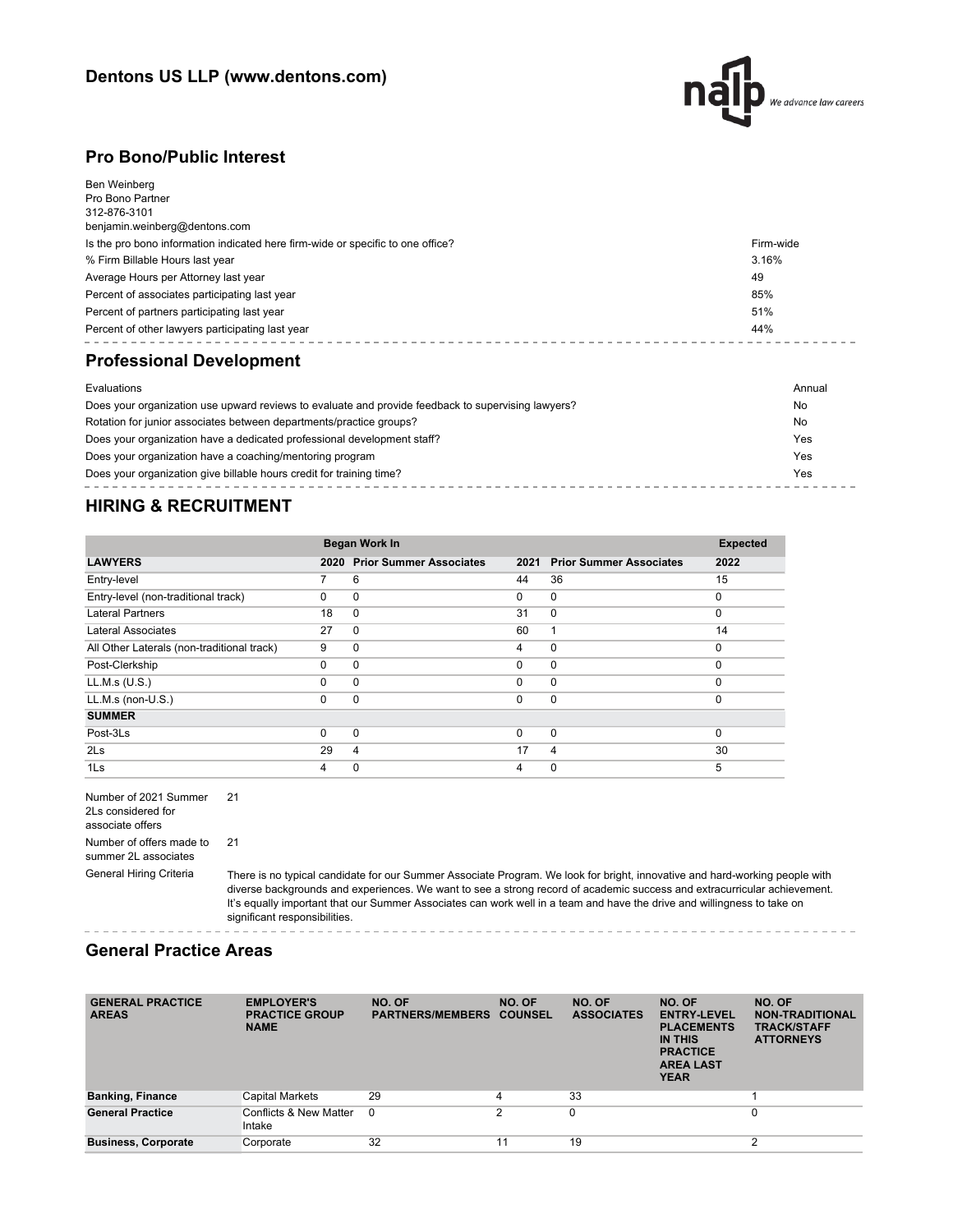

### **Pro Bono/Public Interest**

| Ben Weinberg                                                                    |           |
|---------------------------------------------------------------------------------|-----------|
| Pro Bono Partner                                                                |           |
| 312-876-3101                                                                    |           |
| benjamin.weinberg@dentons.com                                                   |           |
| Is the pro bono information indicated here firm-wide or specific to one office? | Firm-wide |
| % Firm Billable Hours last year                                                 | 3.16%     |
| Average Hours per Attorney last year                                            | 49        |
| Percent of associates participating last year                                   | 85%       |
| Percent of partners participating last year                                     | 51%       |
| Percent of other lawyers participating last year                                | 44%       |
| <b>Professional Development</b>                                                 |           |
| Evaluations                                                                     | Annual    |
|                                                                                 |           |

| Does your organization use upward reviews to evaluate and provide feedback to supervising lawyers? | No  |
|----------------------------------------------------------------------------------------------------|-----|
| Rotation for junior associates between departments/practice groups?                                | No  |
| Does your organization have a dedicated professional development staff?                            | Yes |
| Does your organization have a coaching/mentoring program                                           | Yes |
| Does your organization give billable hours credit for training time?                               | Yes |

## **HIRING & RECRUITMENT**

|                                            |          | Began Work In                  |          |                                |          |  |
|--------------------------------------------|----------|--------------------------------|----------|--------------------------------|----------|--|
| <b>LAWYERS</b>                             | 2020     | <b>Prior Summer Associates</b> | 2021     | <b>Prior Summer Associates</b> | 2022     |  |
| Entry-level                                | 7        | 6                              | 44       | 36                             | 15       |  |
| Entry-level (non-traditional track)        | $\Omega$ | 0                              | $\Omega$ | $\mathbf 0$                    | $\Omega$ |  |
| <b>Lateral Partners</b>                    | 18       | $\Omega$                       | 31       | $\mathbf 0$                    | $\Omega$ |  |
| Lateral Associates                         | 27       | $\Omega$                       | 60       | 1                              | 14       |  |
| All Other Laterals (non-traditional track) | 9        | 0                              | 4        | $\mathbf 0$                    | $\Omega$ |  |
| Post-Clerkship                             | $\Omega$ | $\Omega$                       | $\Omega$ | $\mathbf 0$                    | $\Omega$ |  |
| LL.M.s (U.S.)                              | 0        | $\Omega$                       | $\Omega$ | $\mathbf 0$                    | $\Omega$ |  |
| $LL.M.s$ (non- $U.S.$ )                    | $\Omega$ | $\Omega$                       | 0        | $\mathbf 0$                    | $\Omega$ |  |
| <b>SUMMER</b>                              |          |                                |          |                                |          |  |
| Post-3Ls                                   | $\Omega$ | $\Omega$                       | $\Omega$ | $\mathbf 0$                    | $\Omega$ |  |
| 2 <sub>ls</sub>                            | 29       | 4                              | 17       | 4                              | 30       |  |
| 1Ls                                        | 4        | 0                              | 4        | 0                              | 5        |  |

 $- - -$ 

Number of 2021 Summer 2Ls considered for associate offers 21 Number of offers made to summer 2L associates 21

General Hiring Criteria There is no typical candidate for our Summer Associate Program. We look for bright, innovative and hard-working people with diverse backgrounds and experiences. We want to see a strong record of academic success and extracurricular achievement. It's equally important that our Summer Associates can work well in a team and have the drive and willingness to take on significant responsibilities.

### **General Practice Areas**

| <b>GENERAL PRACTICE</b><br><b>AREAS</b> | <b>EMPLOYER'S</b><br><b>PRACTICE GROUP</b><br><b>NAME</b> | NO. OF<br><b>PARTNERS/MEMBERS</b> | NO. OF<br><b>COUNSEL</b> | NO. OF<br><b>ASSOCIATES</b> | NO. OF<br><b>ENTRY-LEVEL</b><br><b>PLACEMENTS</b><br><b>IN THIS</b><br><b>PRACTICE</b><br><b>AREA LAST</b><br><b>YEAR</b> | NO. OF<br><b>NON-TRADITIONAL</b><br><b>TRACK/STAFF</b><br><b>ATTORNEYS</b> |
|-----------------------------------------|-----------------------------------------------------------|-----------------------------------|--------------------------|-----------------------------|---------------------------------------------------------------------------------------------------------------------------|----------------------------------------------------------------------------|
| <b>Banking, Finance</b>                 | Capital Markets                                           | 29                                | 4                        | 33                          |                                                                                                                           |                                                                            |
| <b>General Practice</b>                 | Conflicts & New Matter<br>Intake                          | $\Omega$                          | 2                        | 0                           |                                                                                                                           | 0                                                                          |
| <b>Business, Corporate</b>              | Corporate                                                 | 32                                | 11                       | 19                          |                                                                                                                           | ◠                                                                          |